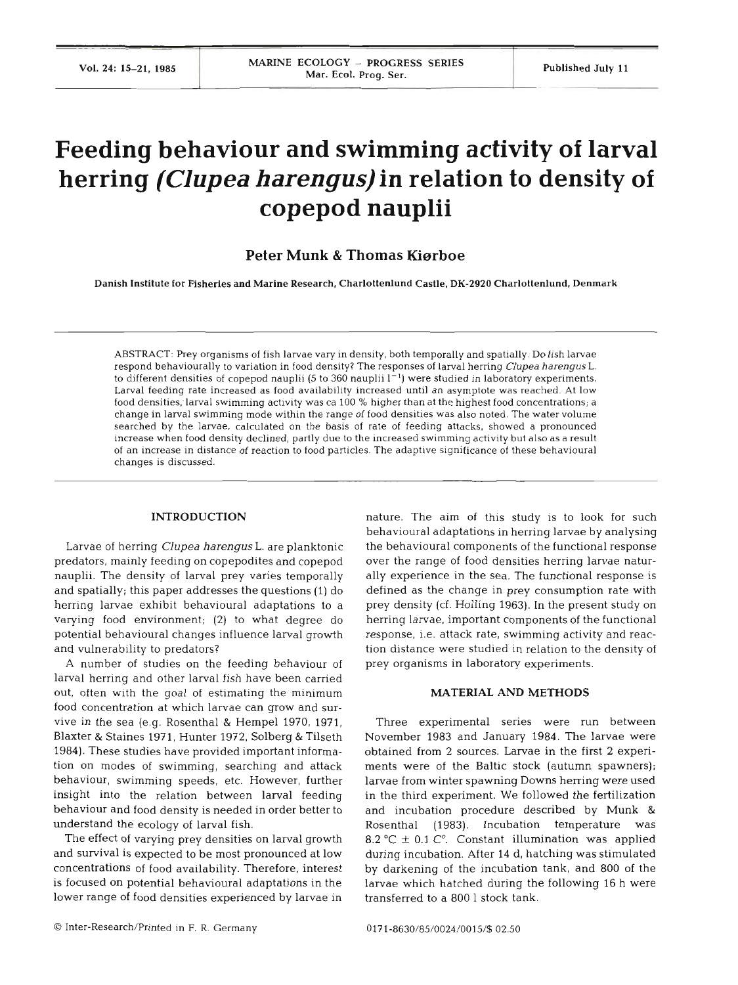# **Feeding behaviour and swimming activity of larval herring** *(Clupea harengus)* **in relation to density of copepod nauplii**

**Peter Munk** & **Thomas Kierboe** 

Danish Institute for Fisheries and Marine Research, Charlottenlund Castle. **DK-2920** Charlottenlund, Denmark

ABSTRACT: Prey organisms of fish larvae vary in density, both temporally and spatially. Do fish larvae respond behaviourally to variation in food density? The responses of larval herring *Clupea harengus* L. to different densities of copepod nauplii  $(5 \text{ to } 360 \text{ nauplii } 1^{-1})$  were studied in laboratory experiments. Larval feeding rate increased as food availability increased until an asymptote was reached. At low food densities;larval swimming activity was ca 100 % higher than at the highest food concentrations; a change in larval swimming mode within the range of food densities was also noted. The water volume searched by the larvae, calculated on the basis of rate of feeding attacks, showed a pronounced increase when food density declined, partly due to the increased swimming activity but also as a result of an increase in distance of reaction to food particles. The adaptive significance of these behavioural changes is discussed.

# **INTRODUCTION**

Larvae of herring *Clupea harengus* L. are planktonic predators, mainly feeding on copepodites and copepod nauplii. The density of larval prey varies temporally and spatially; this paper addresses the questions (1) do herring larvae exhibit behavioural adaptations to a varying food environment; (2) to what degree do potential behavioural changes influence larval growth and vulnerability to predators?

A number of studies on the feeding behaviour of larval herring and other larval fish have been carried out, often with the goal of estimating the minimum food concentration at which larvae can grow and survive in the sea (e.g. Rosenthal & Hempel 1970, 1971, Blaxter & Staines 1971, Hunter 1972, Solberg & Tilseth 1984). These studies have provided important information on modes of swimming, searching and attack behaviour, swimming speeds, etc. However, further insight into the relation between larval feeding behaviour and food density is needed in order better to understand the ecology of larval fish.

The effect of varying prey densities on larval growth and survival is expected to be most pronounced at low concentrations of food availability. Therefore, interest is focused on potential behavioural adaptations in the lower range of food densities experienced by larvae in nature. The aim of this study is to look for such behavioural adaptations in herring larvae by analysing the behavioural components of the functional response over the range of food densities herring larvae naturally experience in the sea. The functional response is defined as the change in prey consumption rate with prey density (cf. Holling 1963). In the present study on herring larvae, important components of the functional response, i.e. attack rate, swimming activity and reaction distance were studied in relation to the density of prey organisms in laboratory experiments.

#### **MATERIAL AND METHO**

Three experimental series were run between November 1983 and January 1984. The larvae were obtained from 2 sources. Larvae in the first 2 experiments were of the Baltic stock (autumn spawners); larvae from winter spawning Downs herring were used in the third experiment. We followed the fertilization and incubation procedure described by Munk & Rosenthal (1983). Incubation temperature was 8.2 °C  $\pm$  0.1 C°. Constant illumination was applied during incubation. After 14 d, hatching was stimulated by darkening of the incubation tank, and 800 of the larvae which hatched during the following 16 h were transferred to a 800 1 stock tank.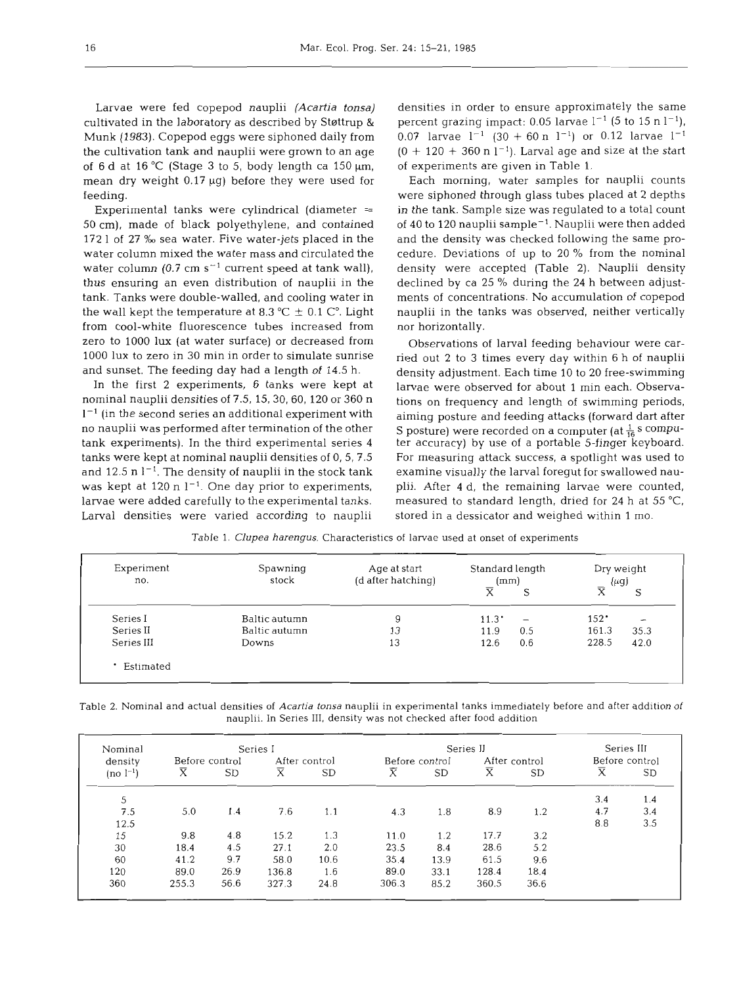Larvae were fed copepod nauplii (Acartia *tonsa)*  cultivated in the laboratory as described by Støttrup & Munk (1983). Copepod eggs were siphoned daily from the cultivation tank and nauplii were grown to an age of  $6 d$  at  $16^{\circ}$ C (Stage 3 to 5, body length ca  $150 \mu m$ , mean dry weight  $0.17 \mu g$ ) before they were used for feeding.

Experimental tanks were cylindrical (diameter  $=$ 50 cm), made of black polyethylene, and contained 172 l of 27 ‰ sea water. Five water-jets placed in the water column mixed the water mass and circulated the water column (0.7 cm  $s^{-1}$  current speed at tank wall), thus ensuring an even distribution of nauplii in the tank. Tanks were double-walled, and cooling water in the wall kept the temperature at 8.3  $^{\circ}$ C  $\pm$  0.1 C<sup>o</sup>. Light from cool-white fluorescence tubes increased from zero to 1000 lux (at water surface) or decreased from 1000 lux to zero in 30 min in order to simulate sunrise and sunset. The feeding day had a length of 14.5 h.

In the first 2 experiments, 6 tanks were kept at nominal nauplii densities of 7.5, 15, 30, 60, 120 or 360 n  $1<sup>-1</sup>$  (in the second series an additional experiment with no nauplii was performed after termination of the other tank experiments). In the third experimental series 4 tanks were kept at nominal nauplii densities of 0, 5, 7.5 and 12.5 n  $l^{-1}$ . The density of nauplii in the stock tank was kept at 120 n  $1^{-1}$ . One day prior to experiments, larvae were added carefully to the experimental tanks. Larval densities were varied according to nauplii

densities in order to ensure approximately the same percent grazing impact: 0.05 larvae  $l^{-1}$  (5 to 15 n  $l^{-1}$ ), 0.07 larvae  $1^{-1}$  (30 + 60 n  $1^{-1}$ ) or 0.12 larvae  $1^{-1}$  $(0 + 120 + 360 \text{ n } 1^{-1})$ . Larval age and size at the start of experiments are given in Table 1.

Each morning, water samples for nauplii counts were siphoned through glass tubes placed at **2** depths in the tank. Sample size was regulated to a total count of 40 to 120 nauplii sample<sup>-1</sup>. Nauplii were then added and the density was checked following the same procedure. Deviations of up to 20 % from the nominal density were accepted (Table 2). Nauplii density declined by ca 25 % during the 24 h between adjustments of concentrations. No accumulation of copepod nauplii in the tanks was observed, neither vertically nor horizontally.

Observations of larval feeding behaviour were carried out 2 to 3 times every day within **6** h of nauplii density adjustment. Each time 10 to 20 free-swimming larvae were observed for about 1 min each. Observations on frequency and length of swimming periods, aiming posture and feeding attacks (forward dart after S posture) were recorded on a computer (at  $\frac{1}{16}$  s computer accuracy) by use of a portable 5-finger keyboard. For measuring attack success, a spotlight was used to examine visually the larval foregut for swallowed nauplii. After 4 d, the remaining larvae were counted, measured to standard length, dried for 24 h at 55 "C, stored in a dessicator and weighed within 1 mo.

| Spawning<br>stock | Age at start<br>(d after hatching) |                         |                          | Dry weight<br>$(\mu g)$ |      |
|-------------------|------------------------------------|-------------------------|--------------------------|-------------------------|------|
|                   |                                    | $\overline{\mathsf{x}}$ | S                        | $\overline{\mathbf{x}}$ | S    |
| Baltic autumn     |                                    | $11.3^{\circ}$          | $\overline{\phantom{m}}$ | $152^{\circ}$           | -    |
| Baltic autumn     | 13                                 | 11.9                    | 0.5                      | 161.3                   | 35.3 |
| Downs             | 13                                 | 12.6                    | 0.6                      | 228.5                   | 42.0 |
|                   |                                    |                         |                          |                         |      |
|                   |                                    |                         |                          | Standard length<br>(mm) |      |

Table 1. *Clupea harengus.* Characteristics of larvae used at onset of experiments

Table 2. Nominal and actual densities of Acartia tonsa nauplii in experimental tanks immediately before and after addition of nauplii. In Series 111, density was not checked after food addition

| Nominal       | Series I                    |           |                         |      |                | Series III |                             |           |                       |           |
|---------------|-----------------------------|-----------|-------------------------|------|----------------|------------|-----------------------------|-----------|-----------------------|-----------|
| density       | Before control              |           | After control           |      | Before control |            | After control               |           | Before control        |           |
| $(no l^{-1})$ | $\overline{\textnormal{x}}$ | <b>SD</b> | $\overline{\mathrm{x}}$ | SD   | Х              | <b>SD</b>  | $\overline{\textnormal{x}}$ | <b>SD</b> | $\overline{\text{x}}$ | <b>SD</b> |
| 5             |                             |           |                         |      |                |            |                             |           | 3.4                   | 1.4       |
| 7.5           | 5.0                         | 1.4       | 7.6                     | 1.1  | 4.3            | 1.8        | 8.9                         | 1.2       | 4.7                   | 3.4       |
| 12.5          |                             |           |                         |      |                |            |                             |           | 8.8                   | 3.5       |
| 15            | 9.8                         | 4.8       | 15.2                    | 1.3  | 11.0           | 1.2        | 17.7                        | 3.2       |                       |           |
| 30            | 18.4                        | 4.5       | 27.1                    | 2.0  | 23.5           | 8.4        | 28.6                        | 5.2       |                       |           |
| 60            | 41.2                        | 9.7       | 58.0                    | 10.6 | 35.4           | 13.9       | 61.5                        | 9.6       |                       |           |
| 120           | 89.0                        | 26.9      | 136.8                   | 1.6  | 89.0           | 33.1       | 128.4                       | 18.4      |                       |           |
| 360           | 255.3                       | 56.6      | 327.3                   | 24.8 | 306.3          | 85.2       | 360.5                       | 36.6      |                       |           |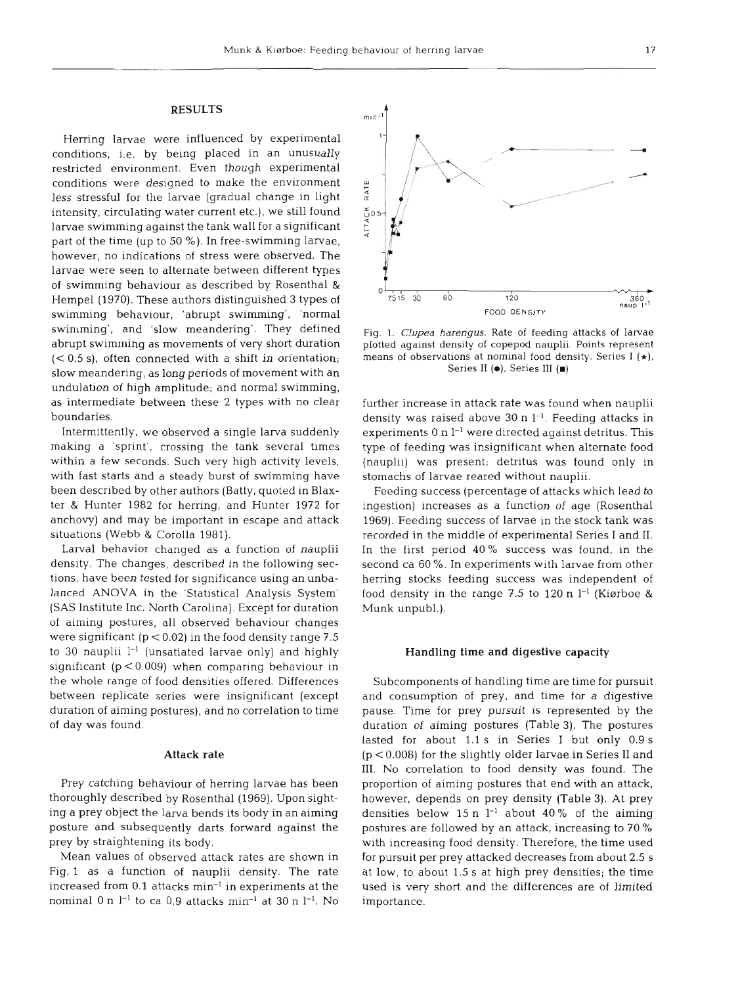## **RESULTS**

Herring larvae were influenced by experimental conditions, i.e. by being placed in an unusually restricted environment. Even though experimental conditions were designed to make the environment less stressful for the larvae (gradual change in light intensity, circulating water current etc.), we still found larvae swimming against the tank wall for a significant part of the time (up to 50 %). In free-swimming larvae, however, no indications of stress were observed. The larvae were seen to alternate between different types of swimming behaviour as described by Rosenthal & Hempel (1970). These authors distinguished 3 types of swimming behaviour, 'abrupt swimming', 'normal swimming', and 'slow meandering'. They defined abrupt swimming as movements of very short duration  $( $0.5 \text{ s}$ )$ , often connected with a shift in orientation; slow meandering, as long periods of movement with an undulation of high amplitude; and normal swimming, as intermediate between these 2 types with no clear boundaries.

Intermittently, we observed a single larva suddenly making a 'sprint', crossing the tank several times within a few seconds. Such very high activity levels, with fast starts and a steady burst of swimming have been described by other authors (Batty, quoted in Blaxter & Hunter 1982 for herring, and Hunter 1972 for anchovy) and may be important in escape and attack situations (Webb & Corolla 1981).

Larval behavior changed as a function of nauplii density. The changes, described in the following sections, have been tested for significance using an unbalanced ANOVA in the 'Statistical Analysis System' (SAS Institute Inc. North Carolina). Except for duration of aiming postures, all observed behaviour changes were significant ( $p < 0.02$ ) in the food density range 7.5 to 30 nauplii  $l^{-1}$  (unsatiated larvae only) and highly significant  $(p < 0.009)$  when comparing behaviour in the whole range of food densities offered. Differences between replicate series were insignificant (except duration of aiming postures), and no correlation to time of day was found.

### Attack rate

Prey catching behaviour of herring larvae has been thoroughly described by Rosenthal (1969). Upon sighting a prey object the larva bends its body in an aiming posture and subsequently darts forward against the prey by straightening its body.

Mean values of observed attack rates are shown in Fig. l as a function of nauplii density. The rate increased from 0.1 attacks min<sup>-1</sup> in experiments at the nominal 0 n  $1^{-1}$  to ca 0.9 attacks min<sup>-1</sup> at 30 n  $1^{-1}$ . No

Fig. **1.** Clupea harengus. Rate of feeding attacks of larvae  $-4$  $75153050$ 7515 **30** 60 120 360 naup I<sup>-</sup> FOOD DENSIT

plotted against density of copepod nauplii. Points represent means of observations at nominal food density. Series I  $(\star)$ , Series **I1 (e),** Series 111 **(m)** 

further increase in attack rate was found when nauplii density was raised above 30 n  $l^{-1}$ . Feeding attacks in experiments  $0$  n  $l^{-1}$  were directed against detritus. This type of feeding was insignificant when alternate food (nauplii) was present; detritus was found only in stomachs of larvae reared without nauplii.

Feeding success (percentage of attacks which lead to ingestion) increases as a function of age (Rosenthal 1969). Feeding success of larvae in the stock tank was recorded in the middle of experimental Series I and 11. In the first period 40% success was found, in the second ca 60 %. In experiments with larvae from other herring stocks feeding success was independent of food density in the range 7.5 to 120 n  $l^{-1}$  (Kiørboe & Munk unpubl.).

## Handling time and digestive capacity

Subcomponents of handling time are time for pursuit and consumption of prey, and time for **a** digestive pause. Time for prey pursuit is represented by the duration of aiming postures (Table 3). The postures lasted for about 1.1 s in Series I but only 0.9 s (p < 0.008) for the slightly older larvae in Series I1 and 111. No correlation to food density was found. The proportion of aiming postures that end with an attack, however, depends on prey density (Table **3).** At prey densities below 15 n  $l^{-1}$  about 40% of the aiming postures are followed by an attack, increasing to 70 % with increasing food density. Therefore, the time used for pursuit per prey attacked decreases from about 2.5 S at low, to about 1.5 S at high prey densities; the time used is very short and the differences are of limited importance.

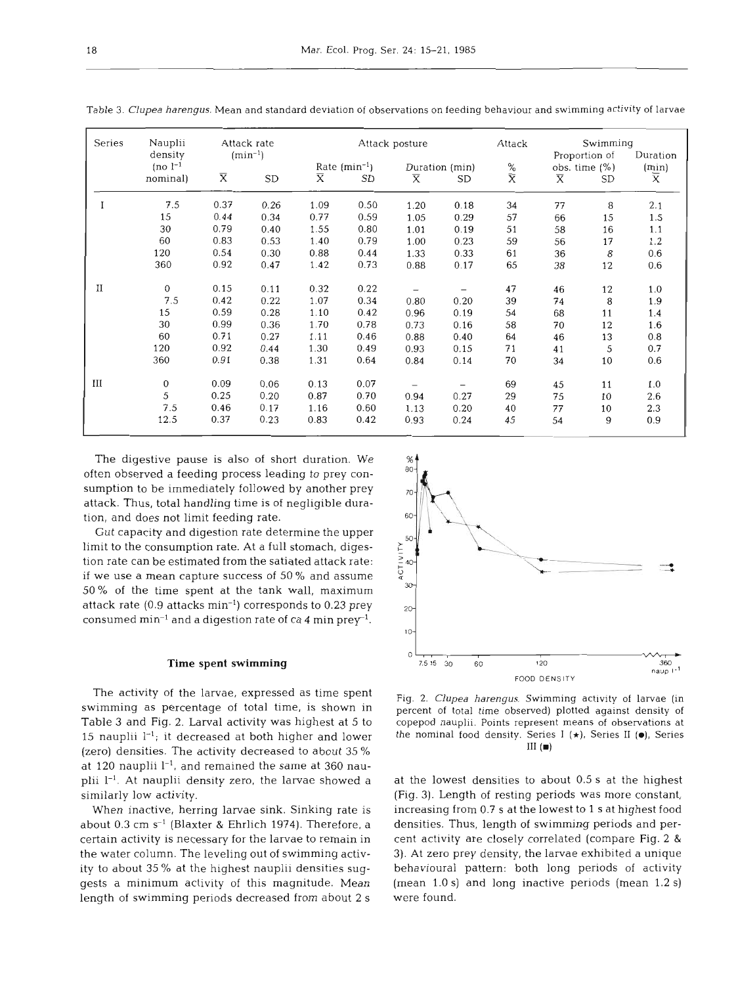| Series | Nauplii     | Attack rate<br>$(min^{-1})$ |      | Attack posture    |      |                         |           | Attack         | Swimming                |          |       |
|--------|-------------|-----------------------------|------|-------------------|------|-------------------------|-----------|----------------|-------------------------|----------|-------|
|        | density     |                             |      |                   |      |                         |           | Proportion of  |                         | Duration |       |
|        | $[no]^{-1}$ |                             |      | Rate $(min^{-1})$ |      | Duration (min)          |           | $\frac{\%}{X}$ | obs. time $(\%)$        |          | (min) |
|        | nominal)    | $\overline{\text{X}}$       | SD   | $\overline{X}$    | SD   | $\overline{\mathsf{x}}$ | <b>SD</b> |                | $\overline{\mathrm{X}}$ | SD       | X     |
| I      | 7.5         | 0.37                        | 0.26 | 1.09              | 0.50 | 1.20                    | 0.18      | 34             | 77                      | 8        | 2.1   |
|        | 15          | 0.44                        | 0.34 | 0.77              | 0.59 | 1.05                    | 0.29      | 57             | 66                      | 15       | 1.5   |
|        | 30          | 0.79                        | 0.40 | 1.55              | 0.80 | 1.01                    | 0.19      | 51             | 58                      | 16       | 1.1   |
|        | 60          | 0.83                        | 0.53 | 1.40              | 0.79 | 1.00                    | 0.23      | 59             | 56                      | 17       | 1.2   |
|        | 120         | 0.54                        | 0.30 | 0.88              | 0.44 | 1.33                    | 0.33      | 61             | 36                      | 8        | 0.6   |
|        | 360         | 0.92                        | 0.47 | 1.42              | 0.73 | 0.88                    | 0.17      | 65             | 38                      | 12       | 0.6   |
| П      | 0           | 0.15                        | 0.11 | 0.32              | 0.22 |                         |           | 47             | 46                      | 12       | 1.0   |
|        | 7.5         | 0.42                        | 0.22 | 1.07              | 0.34 | 0.80                    | 0.20      | 39             | 74                      | 8        | 1.9   |
|        | 15          | 0.59                        | 0.28 | 1.10              | 0.42 | 0.96                    | 0.19      | 54             | 68                      | 11       | 1.4   |
|        | 30          | 0.99                        | 0.36 | 1.70              | 0.78 | 0.73                    | 0.16      | 58             | 70                      | 12       | 1.6   |
|        | 60          | 0.71                        | 0.27 | 1.11              | 0.46 | 0.88                    | 0.40      | 64             | 46                      | 13       | 0.8   |
|        | 120         | 0.92                        | 0.44 | 1.30              | 0.49 | 0.93                    | 0.15      | 71             | 41                      | 5        | 0,7   |
|        | 360         | 0.91                        | 0.38 | 1.31              | 0.64 | 0.84                    | 0.14      | 70             | 34                      | 10       | 0.6   |
| Ш      | $\mathbf 0$ | 0.09                        | 0.06 | 0.13              | 0.07 |                         |           | 69             | 45                      | 11       | 1.0   |
|        | 5           | 0.25                        | 0.20 | 0.87              | 0.70 | 0.94                    | 0.27      | 29             | 75                      | 10       | 2.6   |
|        | 7.5         | 0.46                        | 0.17 | 1.16              | 0.60 | 1.13                    | 0.20      | 40             | 77                      | 10       | 2.3   |
|        | 12.5        | 0.37                        | 0.23 | 0.83              | 0.42 | 0.93                    | 0.24      | 45             | 54                      | 9        | 0.9   |

Table 3. *Clupea harengus.* Mean and standard deviation of observations on feeding behaviour and swimming activity of larvae

The digestive pause is also of short duration. We often observed a feeding process leading to prey consumption to be immediately followed by another prey attack. Thus, total handling time is of negligible duration, and does not limit feeding rate.

Gut capacity and digestion rate determine the upper limit to the consumption rate. At a full stomach, digestion rate can be estimated from the satiated attack rate: if we use a mean capture success of 50 % and assume 50 % of the time spent at the tank wall, maximum attack rate (0.9 attacks min-l) corresponds to 0.23 prey consumed min<sup>-1</sup> and a digestion rate of ca 4 min prey<sup>-1</sup>.

# **Time spent swimming**

The activity of the larvae, expressed as time spent swimming as percentage of total time, is shown in Table 3 and Fig. 2. Larval activity was highest at 5 to 15 nauplii  $l^{-1}$ ; it decreased at both higher and lower (zero) densities. The activity decreased to about 35 % at 120 nauplii  $l^{-1}$ , and remained the same at 360 nauplii  $1^{-1}$ . At nauplii density zero, the larvae showed a similarly low activity.

When inactive, herring larvae sink. Sinking rate is about 0.3 cm  $s^{-1}$  (Blaxter & Ehrlich 1974). Therefore, a certain activity is necessary for the larvae to remain in the water column. The leveling out of swimming activity to about 35 % at the highest nauplii densities suggests a minimum activity of this magnitude. Mean length of swimming periods decreased from about 2 S



Fig. 2. *Clupea harengus.* Swimming activity of larvae (in percent of total time observed) plotted against density of copepod nauplii. Points represent means of observations at the nominal food density. Series I (\*), Series I1 **(e),** Series **I11 (m)** 

at the lowest densities to about 0.5 s at the highest (Fig. 3). Length of resting periods was more constant, increasing from 0.7 s at the lowest to 1 s at highest food densities. Thus, length of swimming periods and percent activity are closely correlated (compare Fig. 2 & **3).** At zero prey density, the larvae exhibited a unique behavioural pattern: both long periods of activity (mean 1.0 S) and long inactive periods (mean 1.2 S) were found.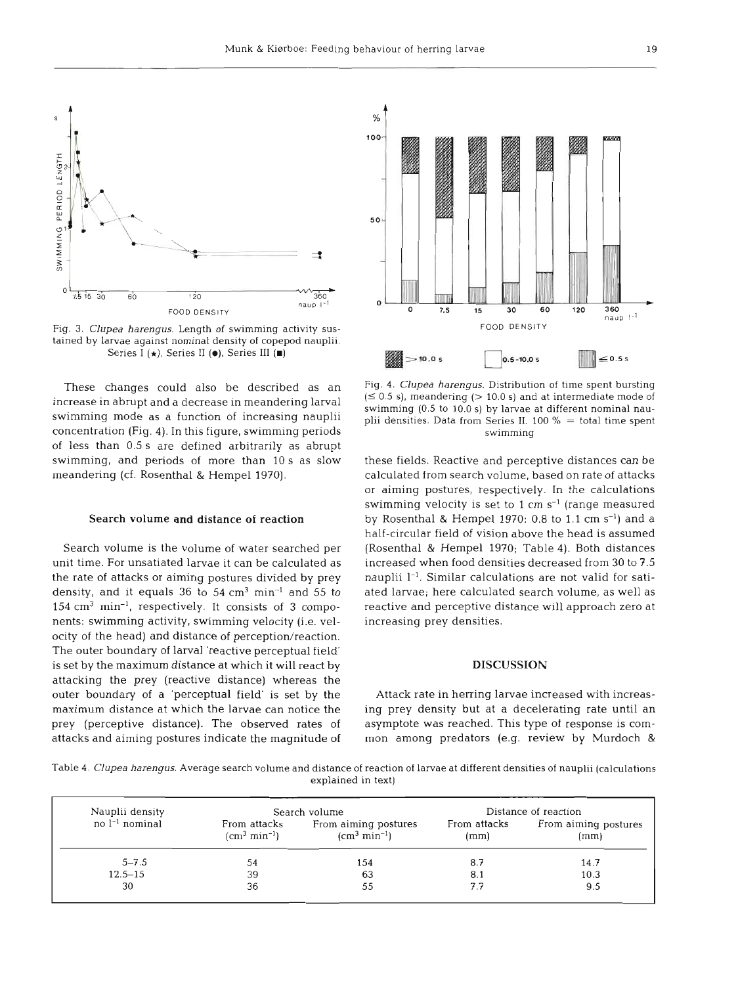

Fig. **3.** *Clupea harengus.* Length of swimming activity sustained by larvae against nominal density of copepod nauplii. Series I (\*), Series I1 **(e),** Series **111 (m)** 

These changes could also be described as an increase in abrupt and a decrease in meandering larval swimming mode as a function of increasing nauplii concentration (Fig. 4). In this figure, swimming periods of less than 0.5 S are defined arbitrarily as abrupt swimming, and periods of more than 10 s as slow meandering (cf. Rosenthal & Hempel 1970).

#### Search **volume** and distance **of** reaction

Search volume is the volume of water searched per unit time. For unsatiated larvae it can be calculate the rate of attacks or aiming postures divided by prey density, and it equals 36 to  $54 \text{ cm}^3 \text{ min}^{-1}$  and  $55 \text{ to}$  $154 \text{ cm}^3 \text{ min}^{-1}$ , respectively. It consists of 3 components: swimming activity, swimming velocity (i.e. velocity of the head) and distance of perception/reaction. The outer boundary of larval 'reactive perceptual field' is set by the maximum distance at which it will react by attacking the prey (reactive distance) whereas the outer boundary of a 'perceptual field' is set by the maximum distance at which the larvae can notice the prey (perceptive distance). The observed rates of attacks and aiming postures indicate the magnitude of



Fig. **4.** *Clupea harengus.* Distribution of time spent bursting  $(50.5 \text{ s})$ , meandering  $(> 10.0 \text{ s})$  and at intermediate mode of swimming **(0.5** to **10.0 s)** by larvae at different nominal nauplii densities. Data from Series **11. 100** % = total time spent swimming

these fields. Reactive and perceptive distances can be calculated from search volume, based on rate of attacks or aiming postures, respectively. In the calculations swimming velocity is set to  $1 \text{ cm s}^{-1}$  (range measured by Rosenthal & Hempel  $1970: 0.8$  to  $1.1$  cm  $s^{-1}$ ) and a half-circular field of vision above the head is assui (Rosenthal & Hempel 1970; Table 4). Both distances increased when food densities decreased from 30 to nauplii  $1^{-1}$ . Similar calculations are not valid for satiated larvae; here calculated search volume, as well as reactive and perceptive distance will approach zero at increasing prey densities.

#### DISCUSSI

Attack rate in herring larvae increased with increasing prey density but at a decelerating rate until an asymptote was reached. This type of response is common among predators (e.g. review by Murdoch &

Table **4.** *Clupea harengus.* Average search volume and distance of reaction of larvae at different densities of nauplii (calculations explained in text)

| Nauplii density  |                               | Search volume                         | Distance of reaction |                              |  |  |
|------------------|-------------------------------|---------------------------------------|----------------------|------------------------------|--|--|
| $no l-1 nominal$ | From attacks<br>$(cm3 min-1)$ | From aiming postures<br>$(cm3 min-1)$ | From attacks<br>(mm) | From aiming postures<br>(mm) |  |  |
| $5 - 7.5$        | 54                            | 154                                   | 8.7                  | 14.7                         |  |  |
| $12.5 - 15$      | 39                            | 63                                    | 8.1                  | 10.3                         |  |  |
| 30               | 36                            | 55                                    | 7.7                  | 9.5                          |  |  |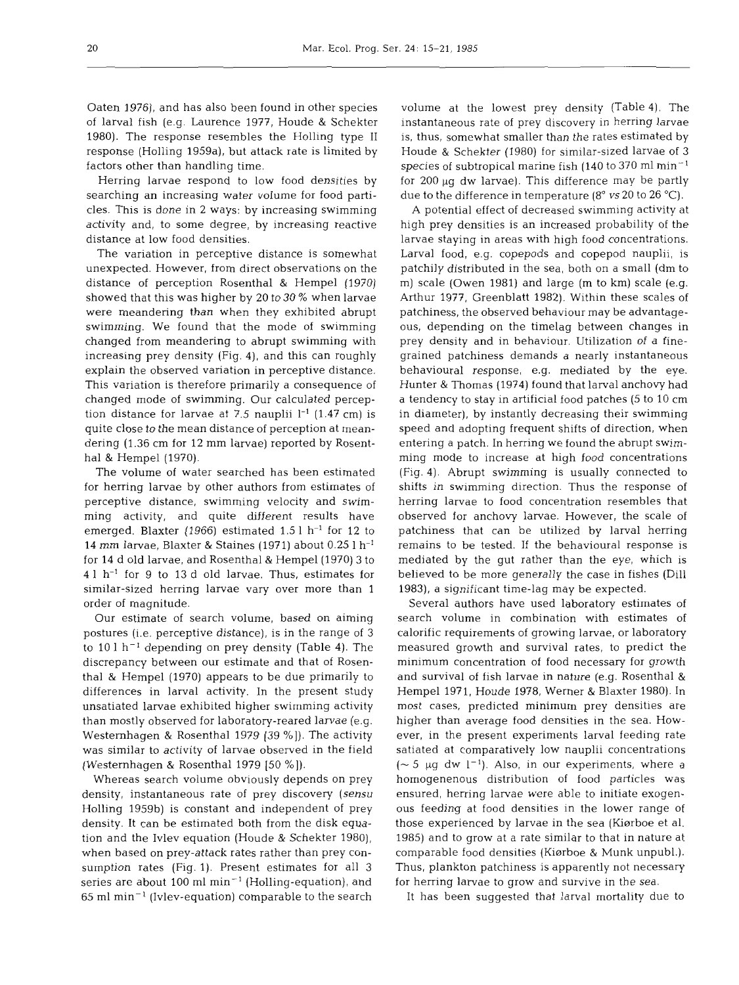Oaten 1976), and has also been found in other species of larval fish (e.g. Laurence 1977, Houde & Schekter 1980). The response resembles the Holling type I1 response (Holling 1959a), but attack rate is limited by factors other than handling time.

Herring larvae respond to low food densities by searching an increasing water volume for food particles. This is done in **2** ways: by increasing swimming activity and, to some degree, by increasing reactive distance at low food densities.

The variation in perceptive distance is somewhat unexpected. However, from direct observations on the distance of perception Rosenthal & Hempel (1970) showed that this was higher by 20 to 30 % when larvae were meandering than when they exhibited abrupt swimming. We found that the mode of swimming changed from meandering to abrupt swimming with increasing prey density (Fig. 4), and this can roughly explain the observed variation in perceptive distance. This variation is therefore primarily a consequence of changed mode of swimming. Our calculated perception distance for larvae at 7.5 nauplii  $l^{-1}$  (1.47 cm) is quite close to the mean distance of perception at meandering (1.36 cm for 12 mm larvae) reported by Rosentha1 & Hempel (1970).

The volume of water searched has been estimated for herring larvae by other authors from estimates of perceptive distance, swimming velocity and swimming activity, and quite different results have emerged. Blaxter (1966) estimated  $1.5 l h^{-1}$  for 12 to 14 mm larvae, Blaxter & Staines (1971) about 0.25 1 h-' for 14 d old larvae, and Rosenthal & Hempel (1970) 3 to 4 1 h-' for 9 to 13 d old larvae. Thus, estimates for similar-sized herring larvae vary over more than 1 order of magnitude.

Our estimate of search volume, based on aiming postures (i.e. perceptive distance), is in the range of **3**  to 10 l h<sup>-1</sup> depending on prey density (Table 4). The discrepancy between our estimate and that of Rosenthal & Hempel (1970) appears to be due primarily to differences in larval activity. In the present study unsatiated larvae exhibited higher swimming activity than mostly observed for laboratory-reared larvae (e.g. Westernhagen & Rosenthal 1979 [39 %]). The activity was similar to activity of larvae observed in the field (Westernhagen & Rosenthal 1979  $[50\%]$ ).

Whereas search volume obviously depends on prey density, instantaneous rate of prey discovery **(sensu**  Holling 1959b) is constant and independent of prey density. It can be estimated both from the disk equation and the Ivlev equation (Houde & Schekter 1980), when based on prey-attack rates rather than prey consumption rates (Fig. 1). Present estimates for all 3 series are about 100 ml  $min^{-1}$  (Holling-equation), and  $65$  ml min<sup>-1</sup> (Ivlev-equation) comparable to the search

volume at the lowest prey density (Table 4). The instantaneous rate of prey discovery in herring larvae is, thus, somewhat smaller than the rates estimated by Houde & Schekter (1980) for similar-sized larvae of 3 species of subtropical marine fish (140 to 370 ml  $min^{-1}$ for  $200 \mu g$  dw larvae). This difference may be partly due to the difference in temperature (8" **vs20** to 26 "C).

A potential effect of decreased swimming activity at high prey densities is an increased probability of the larvae staying in areas with high food concentrations. Larval food, e.g. copepods and copepod nauplii, is patchily distributed in the sea, both on a small (dm to m) scale (Owen 1981) and large (m to km) scale (e.g. Arthur 1977, Greenblatt 1982). Within these scales of patchiness, the observed behaviour may be advantageous, depending on the timelag between changes in prey density and in behaviour. Utilization of a finegrained patchiness demands a nearly instantaneous behavioural response, e.g. mediated by the eye. Hunter & Thomas (1974) found that larval anchovy had a tendency to stay in artificial food patches (5 to 10 cm in diameter), by instantly decreasing their swimming speed and adopting frequent shifts of direction, when entering a patch. In herring we found the abrupt swimming mode to increase at high food concentrations (Fig. 4). Abrupt swimming is usually connected to shifts in swimming direction. Thus the response of herring larvae to food concentration resembles that observed for anchovy larvae. However, the scale of patchiness that can be utilized by larval herring remains to be tested. If the behavioural response is mediated by the gut rather than the eye, which is believed to be more generally the case in fishes (Dill 1983), a significant time-lag may be expected.

Several authors have used laboratory estimates of search volume in combination with estimates of calorific requirements of growing larvae, or laboratory measured growth and survival rates, to predict the minimum concentration of food necessary for growth and survival of fish larvae in nature (e.g. Rosenthal & Hempel 1971. Houde 1978, Werner & Blaxter 1980). In most cases, predicted minimum prey densities are higher than average food densities in the sea. However, in the present experiments larval feeding rate satiated at comparatively low nauplii concentrations ( $\sim$  5 µg dw l<sup>-1</sup>). Also, in our experiments, where a homogenenous distribution of food particles was ensured, herring larvae were able to initiate exogenous feeding at food densities in the lower range of those experienced by larvae in the sea (Kiørboe et al. 1985) and to grow at a rate similar to that in nature at comparable food densities (Kiørboe & Munk unpubl.). Thus, plankton patchiness is apparently not necessary for herring larvae to grow and survive in the sea.

It has been suggested that larval mortality due to